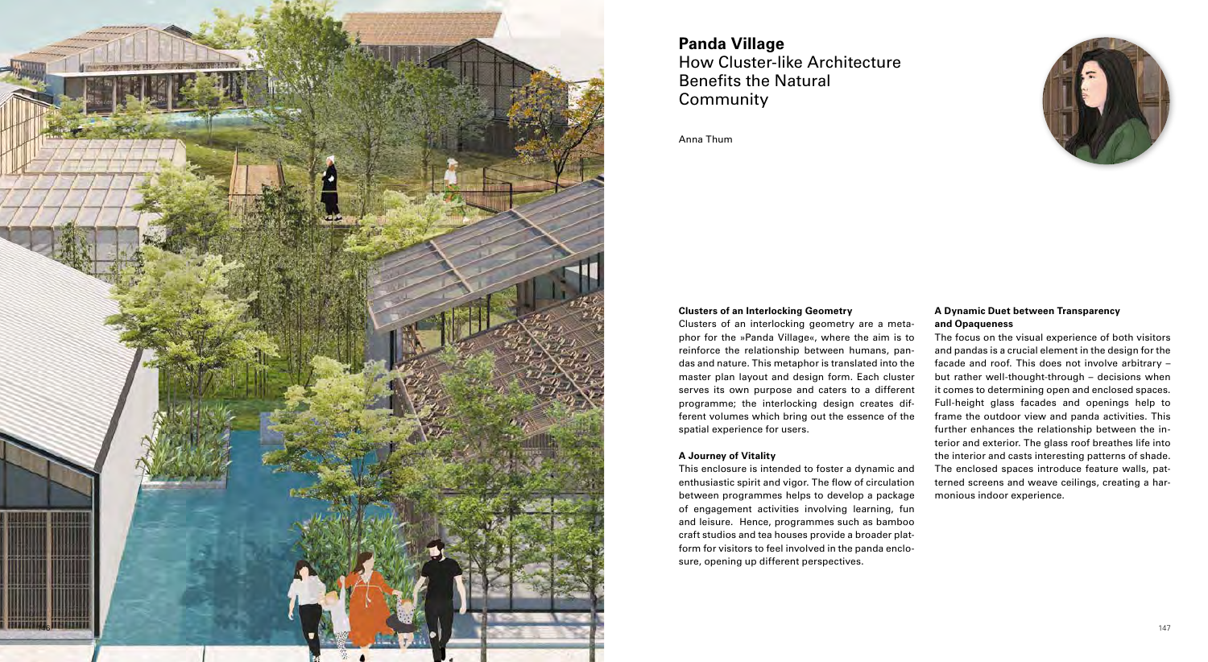### **Clusters of an Interlocking Geometry**

## **A Journey of Vitality**

of engagement activities involving learning, fun and leisure. Hence, programmes such as bamboo craft studios and tea houses provide a broader platform for visitors to feel involved in the panda enclosure, opening up different perspectives.



Clusters of an interlocking geometry are a metaphor for the »Panda Village«, where the aim is to reinforce the relationship between humans, pandas and nature. This metaphor is translated into the master plan layout and design form. Each cluster serves its own purpose and caters to a different programme; the interlocking design creates different volumes which bring out the essence of the spatial experience for users. This enclosure is intended to foster a dynamic and enthusiastic spirit and vigor. The flow of circulation between programmes helps to develop a package **and Opaqueness** The focus on the visual experience of both visitors and pandas is a crucial element in the design for the facade and roof. This does not involve arbitrary – but rather well-thought-through – decisions when it comes to determining open and enclosed spaces. Full-height glass facades and openings help to frame the outdoor view and panda activities. This further enhances the relationship between the interior and exterior. The glass roof breathes life into the interior and casts interesting patterns of shade. The enclosed spaces introduce feature walls, patterned screens and weave ceilings, creating a harmonious indoor experience.

# **A Dynamic Duet between Transparency**

# **Panda Village**

How Cluster-like Architecture Benefits the Natural Community

Anna Thum

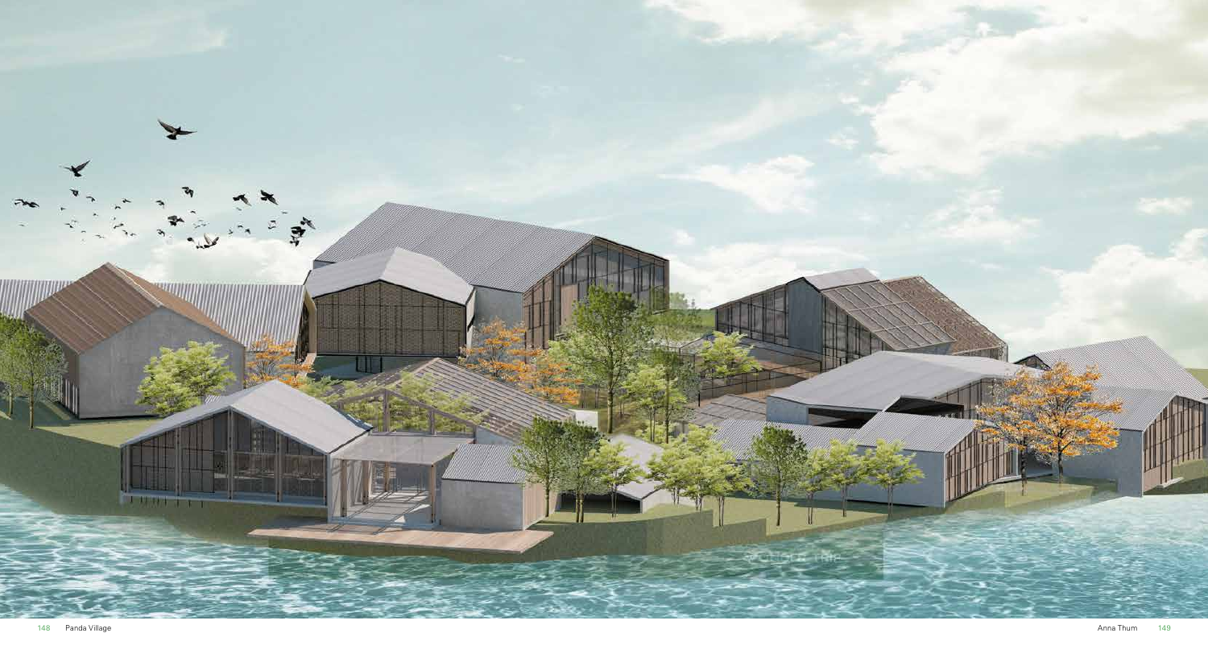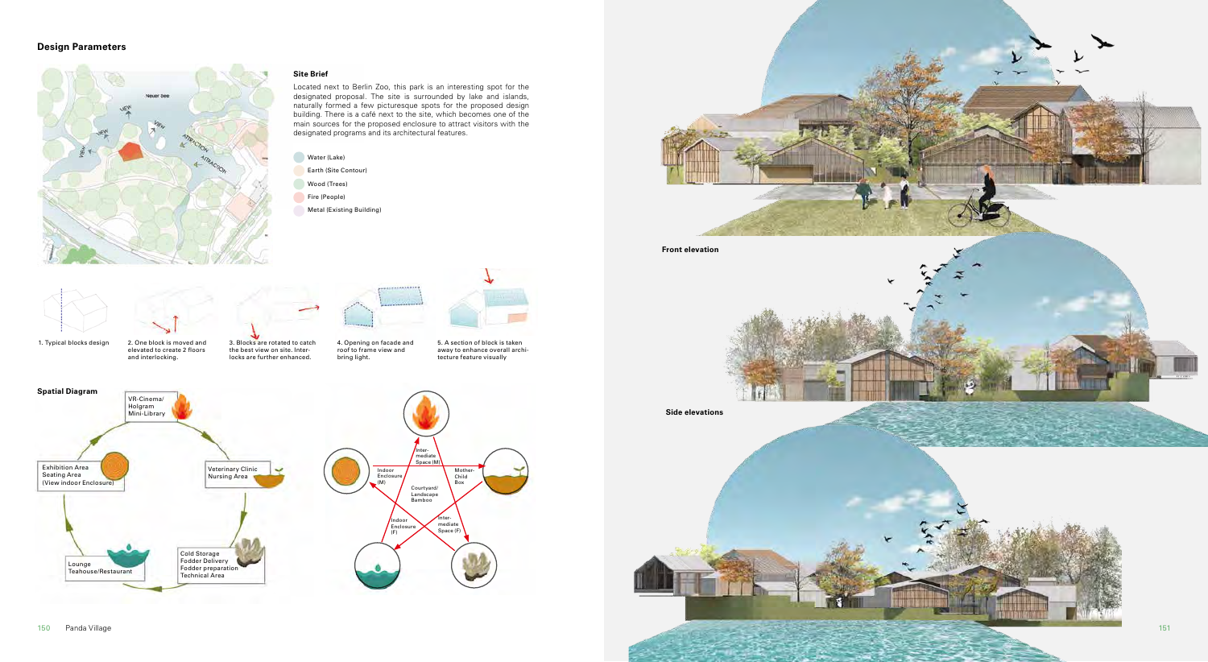# **Design Parameters**



#### **Site Brief**

Located next to Berlin Zoo, this park is an interesting spot for the designated proposal. The site is surrounded by lake and islands, naturally formed a few picturesque spots for the proposed design building. There is a café next to the site, which becomes one of the main sources for the proposed enclosure to attract visitors with the designated programs and its architectural features.

1. Typical blocks design 2. One block is moved and elevated to create 2 floors and interlocking.

- Water (Lake)
- Earth (Site Contour)
- Wood (Trees)
- Fire (People)
- Metal (Existing Building)







150 Panda Village



4. Opening on facade and roof to frame view and bring light.

5. A section of block is taken away to enhance overall architecture feature visually

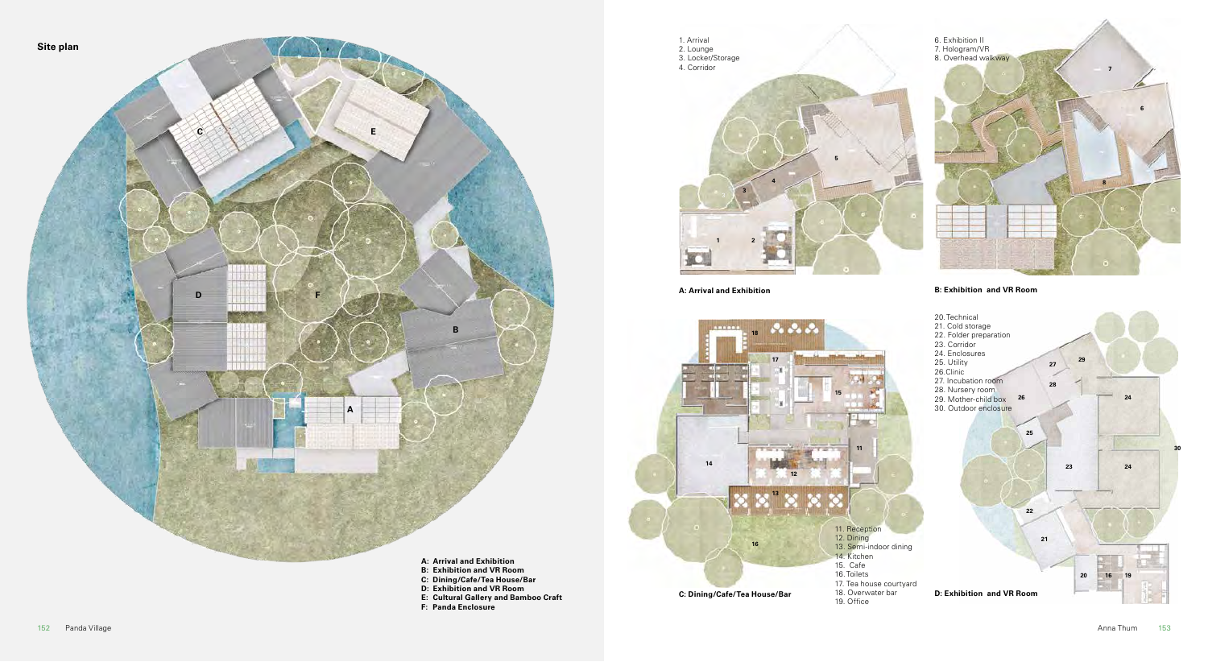**A: Arrival and Exhibition** 



- 7. Hologram/VR
- 8. Overhead walkway

**2 4 5 1 3** 1. Arrival 2. Lounge 3. Locker/Storage 4. Corridor

# 6. Exhibition II

## **B: Exhibition and VR Room**









**F: Panda Enclosure**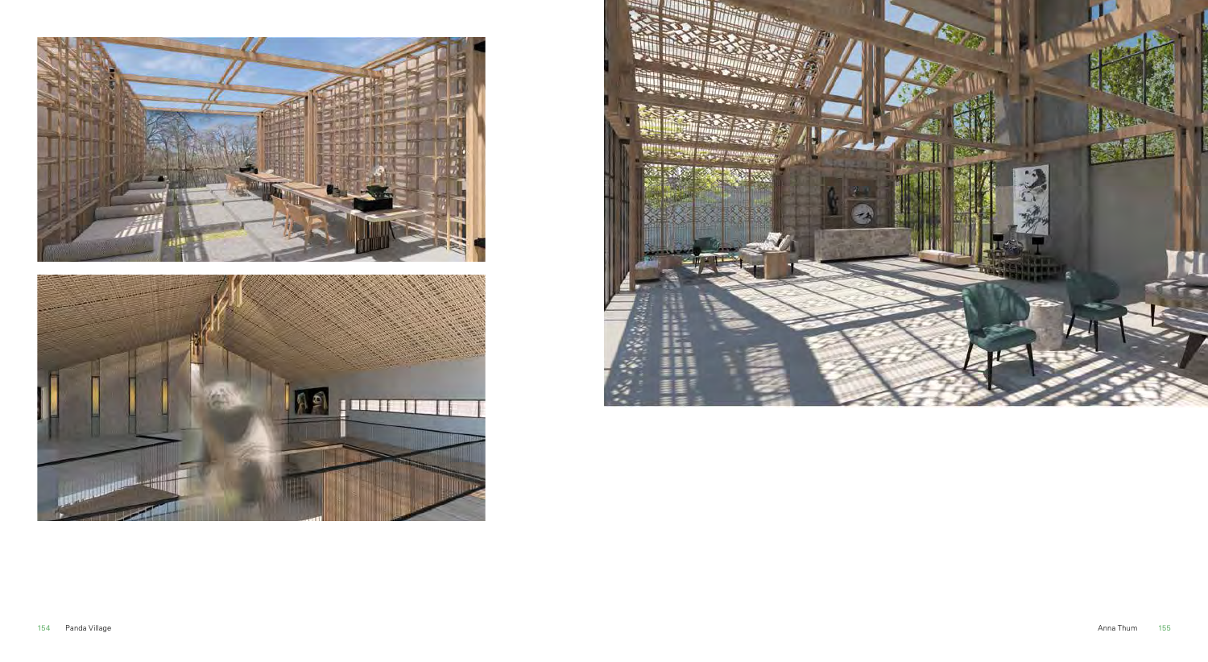